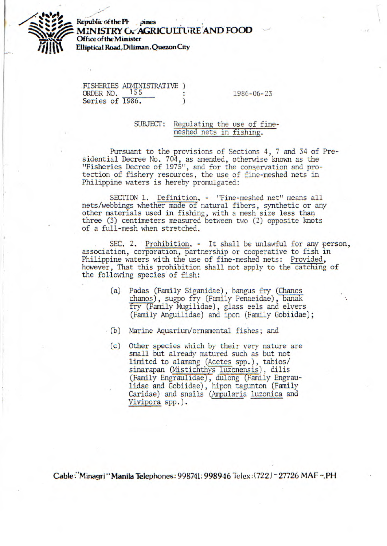

**Republic of the PF** pines **MINISTRY OF AGRICULTURE AND FOOD Office of the Minister Elliptical Road,Diliman, Quezon City** 

|                 | FISHERIES ADMINISTRATIVE ) |                  |
|-----------------|----------------------------|------------------|
| ORDER NO.       | 155                        | $1986 - 06 - 23$ |
| Series of 1986. |                            |                  |

## SUBJECT: Regulating the use of finemeshed nets in fishing.

Pursuant to the provisions of Sections 4, 7 and 34 of Presidential Decree No. 704, as amended, otherwise known as the "Fisheries Decree of 1975", and for the conervation and protection of fishery resources, the use of fine-meshed nets in Philippine waters is hereby promulgated:

SECTION 1. Definition. - "Fine-meshed net" means all nets/webbings whether made of natural fibers, synthetic or any other materials used in fishing, with a mesh size less than three (3) centimeters measured between two (2) opposite knots of a full-mesh when stretched,

SEC. 2. Prohibition. - It shall be unlawful for any person, association, corporation, partnership or cooperative to fish in Philippine waters with the use of fine-meshed nets: Provided, however, That this prohibition shall not apply to the catching of the following species of fish:

- (a) Padas (Family Siganidae), bangus fry (Chanos chanos), sugpo fry (Family Penaeidae), banak fry (Family Mugilidae), glass eels and elvers (Family Anguilidae) and ipon (Family Gobiidae);
- (b) Marine Aquarium/ornamental fishes; and
	- (c) Other species which by their very nature are small but already matured such as but not limited to alamang (Acetes spp.), tabios/ sinarapan (Mistichthys luzonensis), dilis (Family Engraulidae), dulong (Family Engraulidae and Gobiidae), hipon tagunton (Family Caridae) and snails (Ampularia luzonica and Vivipora spp.).

**Cable: "Minagri" Manila Telephones: 998741; 998946 Telex:(722) ~ 27726 MAF ~ PH**